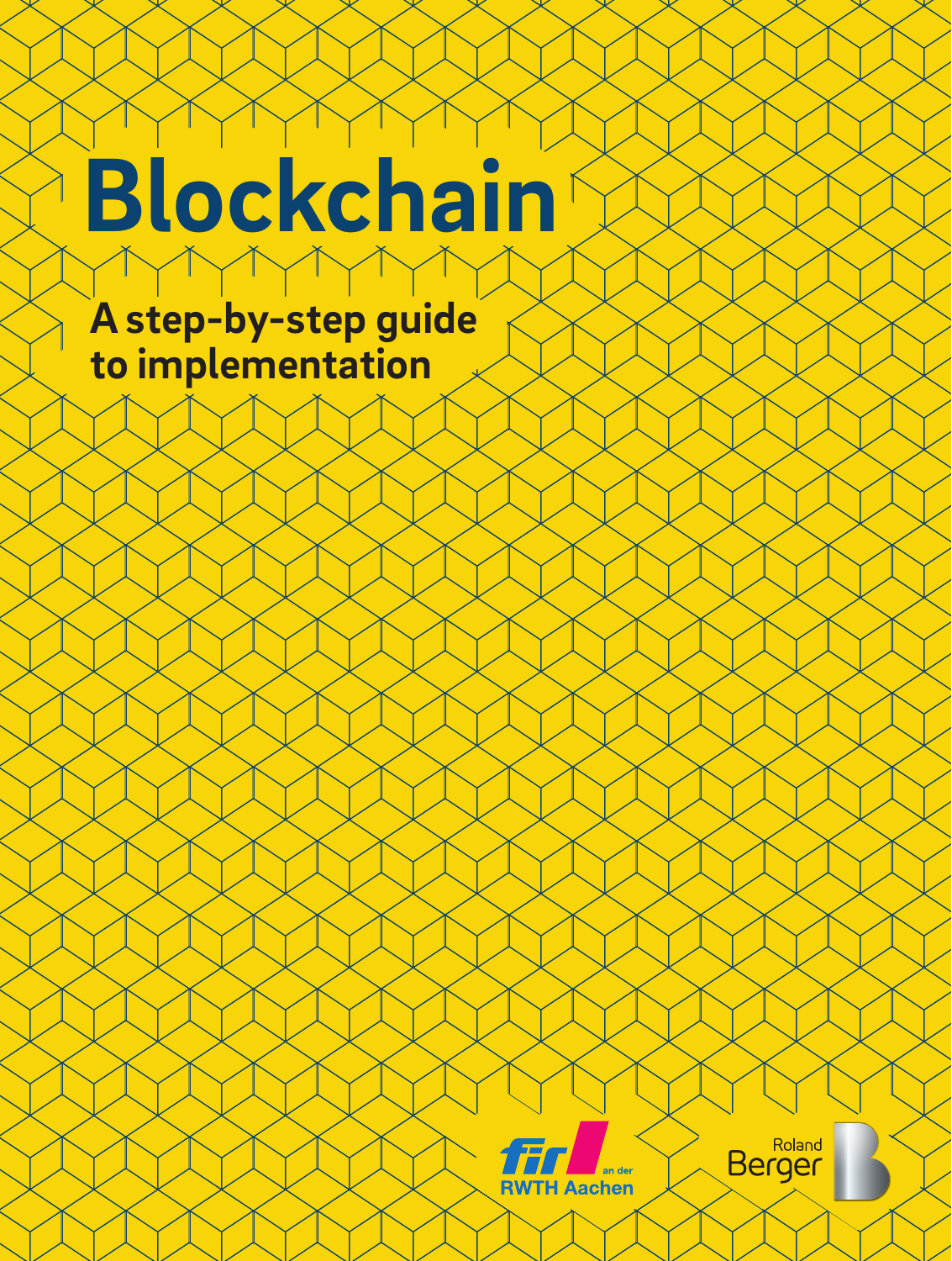# **Blockchain**

**A step-by-step guide to implementation**



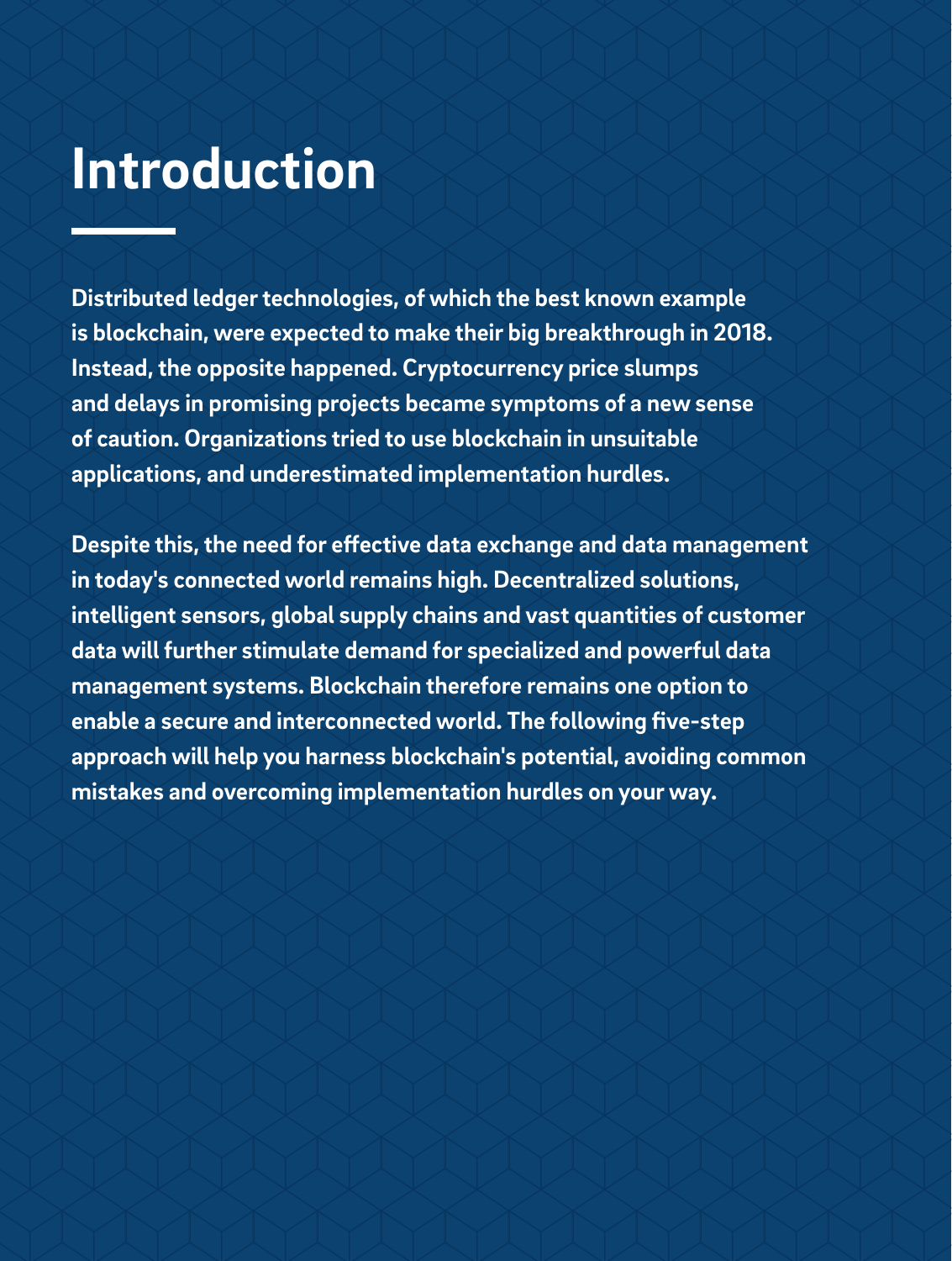## **Introduction**

**Distributed ledger technologies, of which the best known example is blockchain, were expected to make their big breakthrough in 2018. Instead, the opposite happened. Cryptocurrency price slumps and delays in promising projects became symptoms of a new sense of caution. Organizations tried to use blockchain in unsuitable applications, and underestimated implementation hurdles.** 

**Despite this, the need for effective data exchange and data management in today's connected world remains high. Decentralized solutions, intelligent sensors, global supply chains and vast quantities of customer data will further stimulate demand for specialized and powerful data management systems. Blockchain therefore remains one option to enable a secure and interconnected world. The following five-step approach will help you harness blockchain's potential, avoiding common mistakes and overcoming implementation hurdles on your way.**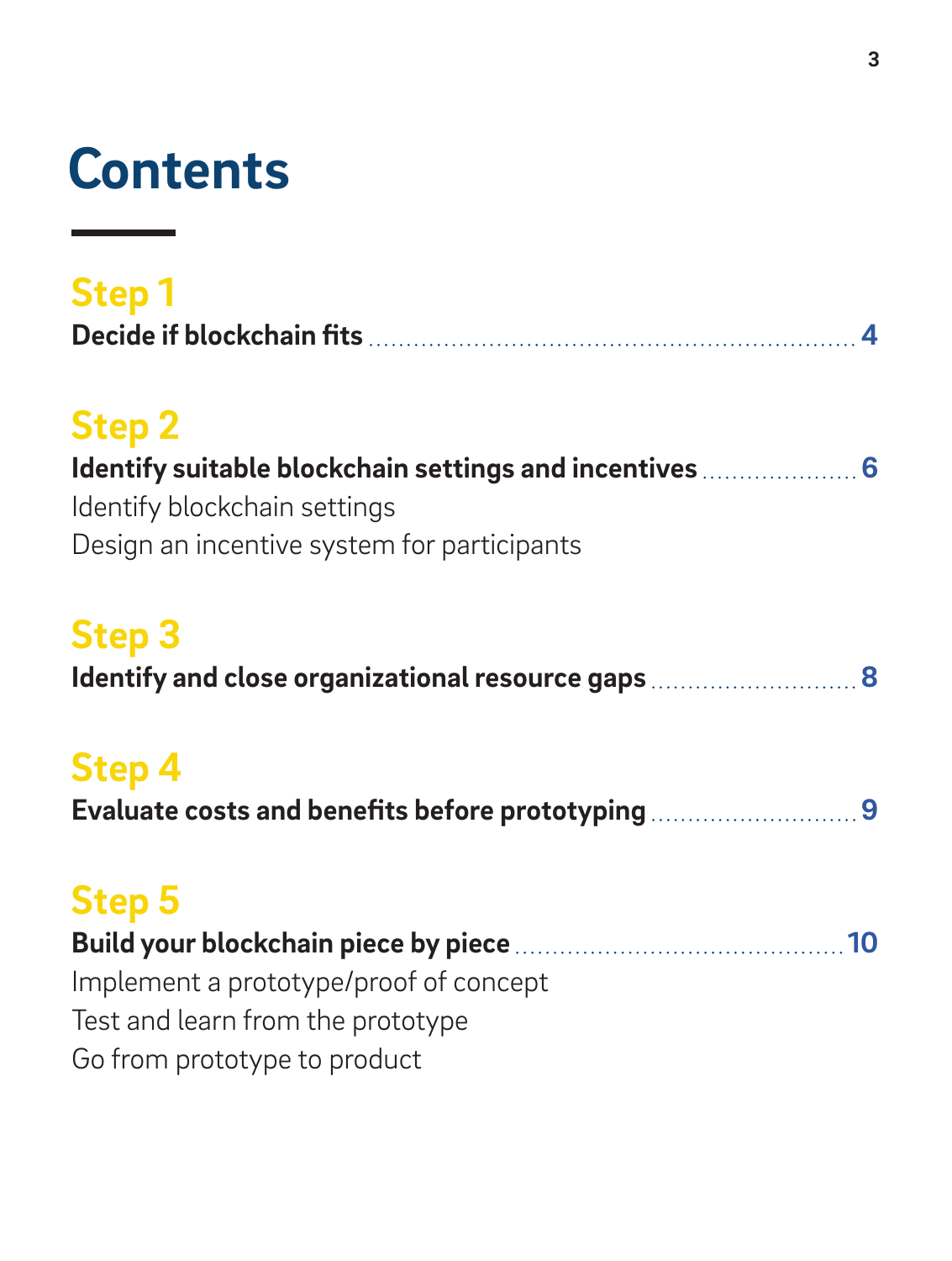## **Contents**

| <b>Step1</b> |  |
|--------------|--|
|              |  |

## **Step 2**

| Identify suitable blockchain settings and incentives  6 |
|---------------------------------------------------------|
| Identify blockchain settings                            |
| Design an incentive system for participants             |

## **Step 3**

| Identify and close organizational resource gaps  8 |  |
|----------------------------------------------------|--|
|----------------------------------------------------|--|

## **Step 4**

| Evaluate costs and benefits before prototyping 9 |  |  |
|--------------------------------------------------|--|--|
|--------------------------------------------------|--|--|

## **Step 5**

| Implement a prototype/proof of concept |  |
|----------------------------------------|--|
| Test and learn from the prototype      |  |
| Go from prototype to product           |  |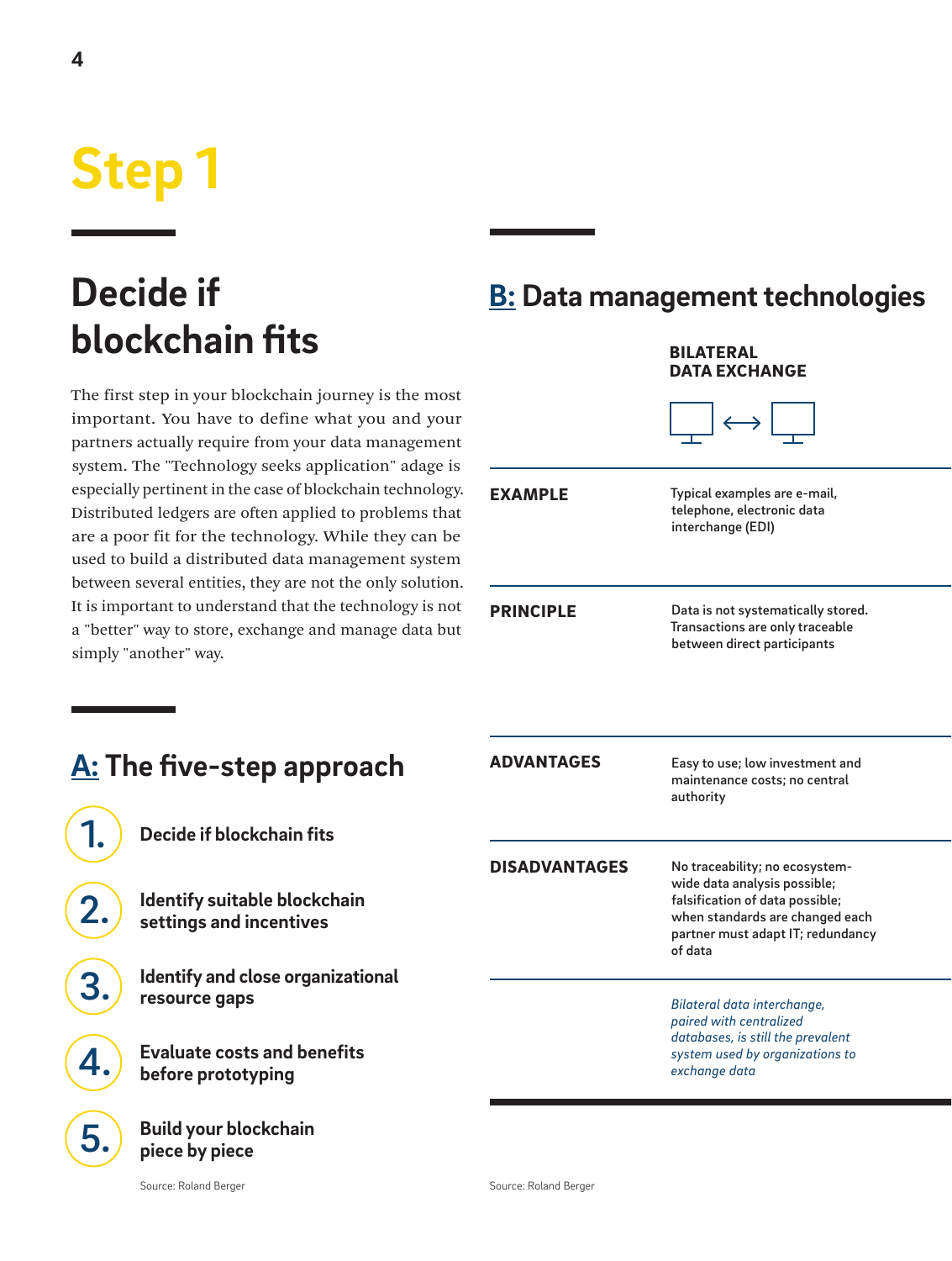## <span id="page-3-0"></span>**Step 1**

## **Decide if blockchain fits**

The first step in your blockchain journey is the most important. You have to define what you and your partners actually require from your data management system. The "Technology seeks application" adage is especially pertinent in the case of blockchain technology. Distributed ledgers are often applied to problems that are a poor fit for the technology. While they can be used to build a distributed data management system between several entities, they are not the only solution. It is important to understand that the technology is not a "better" way to store, exchange and manage data but simply "another" way.

**A: The five-step approach**

**Decide if blockchain fits**

**Identify suitable blockchain settings and incentives**

**Evaluate costs and benefits** 

**Identify and close organizational** 

### **B: Data management technologies BILATEDAL**

|                      | <b>DATA EXCHANGE</b>                                                                                                                                                                 |
|----------------------|--------------------------------------------------------------------------------------------------------------------------------------------------------------------------------------|
|                      | $\longleftrightarrow$                                                                                                                                                                |
| <b>EXAMPLE</b>       | Typical examples are e-mail,<br>telephone, electronic data<br>interchange (EDI)                                                                                                      |
| <b>PRINCIPLE</b>     | Data is not systematically stored.<br>Transactions are only traceable<br>between direct participants                                                                                 |
| <b>ADVANTAGES</b>    | Easy to use; low investment and<br>maintenance costs; no central<br>authority                                                                                                        |
| <b>DISADVANTAGES</b> | No traceability; no ecosystem-<br>wide data analysis possible;<br>falsification of data possible;<br>when standards are changed each<br>partner must adapt IT; redundancy<br>of data |
|                      | Bilateral data interchange,<br>paired with centralized<br>databases, is still the prevalent<br>system used by organizations to<br>exchange data                                      |

**piece by piece**

**resource gaps**

1.

2.

3.

4.

5.

**before prototyping**

**Build your blockchain**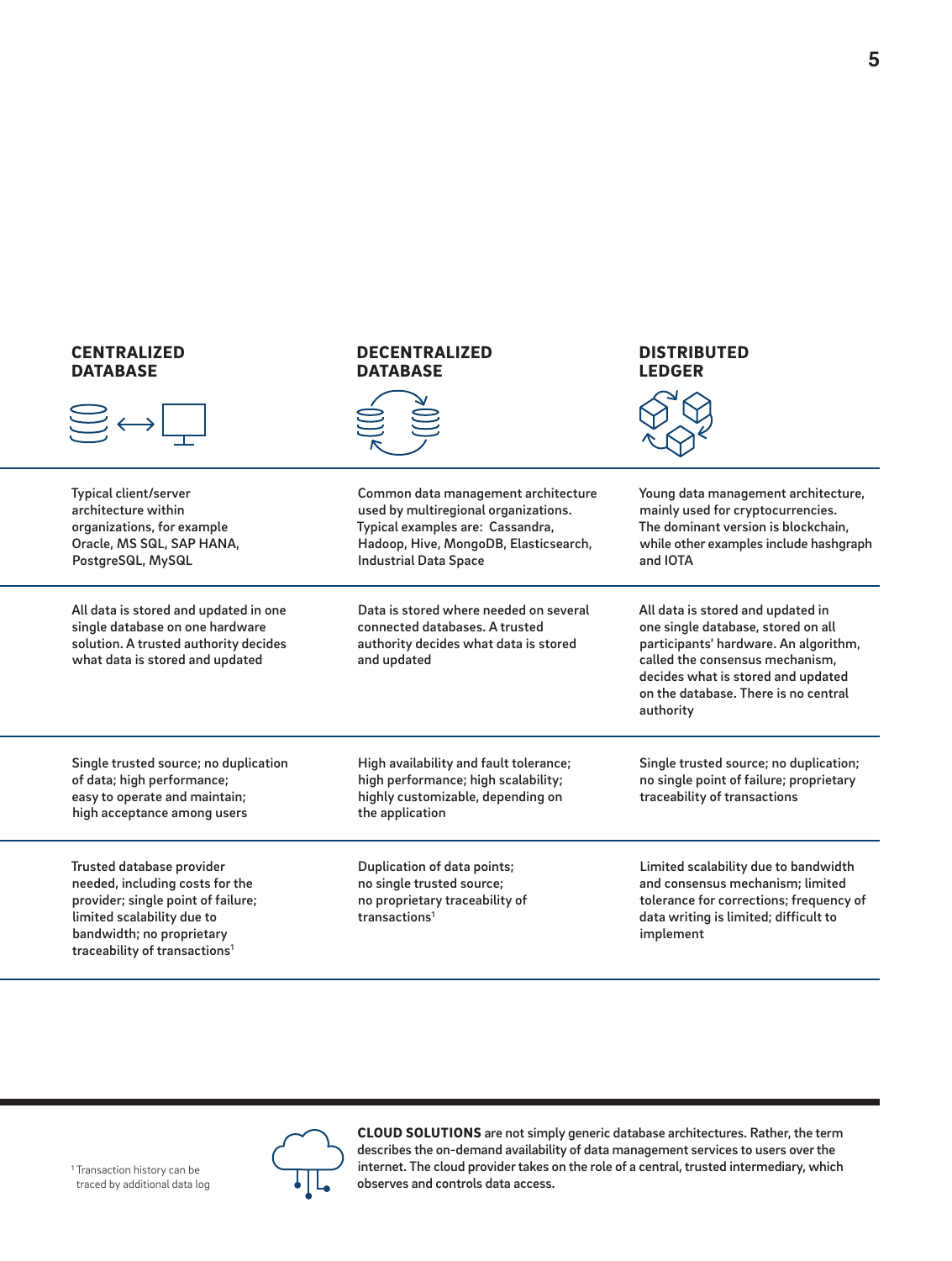### CENTRALIZED **DATABASE**



Typical client/server architecture within organizations, for example Oracle, MS SQL, SAP HANA, PostgreSQL, MySQL

All data is stored and updated in one single database on one hardware solution. A trusted authority decides what data is stored and updated

### DECENTRALIZED **DATABASE**



Common data management architecture used by multiregional organizations. Typical examples are: Cassandra, Hadoop, Hive, MongoDB, Elasticsearch, Industrial Data Space

Data is stored where needed on several connected databases. A trusted authority decides what data is stored and updated

### DISTRIBUTED LEDGER



Young data management architecture, mainly used for cryptocurrencies. The dominant version is blockchain, while other examples include hashgraph and IOTA

All data is stored and updated in one single database, stored on all participants' hardware. An algorithm, called the consensus mechanism, decides what is stored and updated on the database. There is no central authority

Single trusted source; no duplication; no single point of failure; proprietary traceability of transactions

Limited scalability due to bandwidth and consensus mechanism; limited tolerance for corrections; frequency of data writing is limited; difficult to implement

Single trusted source; no duplication of data; high performance; easy to operate and maintain; high acceptance among users

Trusted database provider needed, including costs for the provider; single point of failure; limited scalability due to bandwidth; no proprietary traceability of transactions<sup>1</sup>

High availability and fault tolerance; high performance; high scalability; highly customizable, depending on the application

Duplication of data points; no single trusted source; no proprietary traceability of transactions<sup>1</sup>

CLOUD SOLUTIONS are not simply generic database architectures. Rather, the term describes the on-demand availability of data management services to users over the internet. The cloud provider takes on the role of a central, trusted intermediary, which observes and controls data access.

<sup>1</sup> Transaction history can be traced by additional data log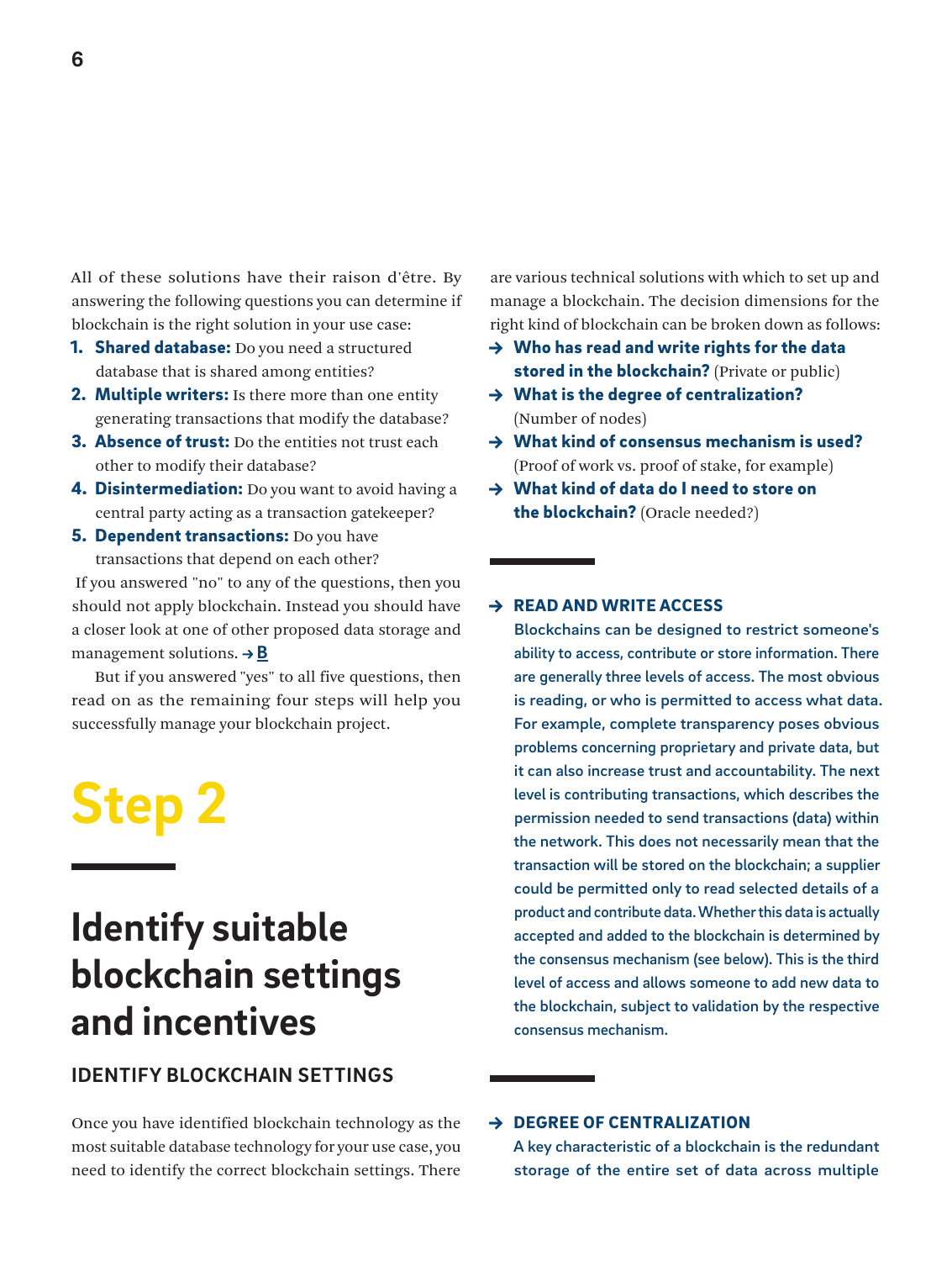<span id="page-5-0"></span>All of these solutions have their raison d'être. By answering the following questions you can determine if blockchain is the right solution in your use case:

- **1. Shared database:** Do you need a structured database that is shared among entities?
- 2. Multiple writers: Is there more than one entity generating transactions that modify the database?
- **3. Absence of trust:** Do the entities not trust each other to modify their database?
- **4. Disintermediation:** Do you want to avoid having a central party acting as a transaction gatekeeper?
- **5. Dependent transactions:** Do you have transactions that depend on each other?

 If you answered "no" to any of the questions, then you should not apply blockchain. Instead you should have a closer look at one of other proposed data storage and managementsolutions.  $\rightarrow \mathbf{B}$ 

But if you answered "yes" to all five questions, then read on as the remaining four steps will help you successfully manage your blockchain project.

## **Step 2**

### **Identify suitable blockchain settings and incentives**

### **IDENTIFY BLOCKCHAIN SETTINGS**

Once you have identified blockchain technology as the most suitable database technology for your use case, you need to identify the correct blockchain settings. There

are various technical solutions with which to set up and manage a blockchain. The decision dimensions for the right kind of blockchain can be broken down as follows:

- $\rightarrow$  Who has read and write rights for the data stored in the blockchain? (Private or public)
- $\rightarrow$  What is the degree of centralization? (Number of nodes)
- $\rightarrow$  What kind of consensus mechanism is used? (Proof of work vs. proof of stake, for example)
- → What kind of data do I need to store on the blockchain? (Oracle needed?)

### $\rightarrow$  READ AND WRITE ACCESS

Blockchains can be designed to restrict someone's ability to access, contribute or store information. There are generally three levels of access. The most obvious is reading, or who is permitted to access what data. For example, complete transparency poses obvious problems concerning proprietary and private data, but it can also increase trust and accountability. The next level is contributing transactions, which describes the permission needed to send transactions (data) within the network. This does not necessarily mean that the transaction will be stored on the blockchain; a supplier could be permitted only to read selected details of a product and contribute data. Whether this data is actually accepted and added to the blockchain is determined by the consensus mechanism (see below). This is the third level of access and allows someone to add new data to the blockchain, subject to validation by the respective consensus mechanism.

### → DEGREE OF CENTRALIZATION

A key characteristic of a blockchain is the redundant storage of the entire set of data across multiple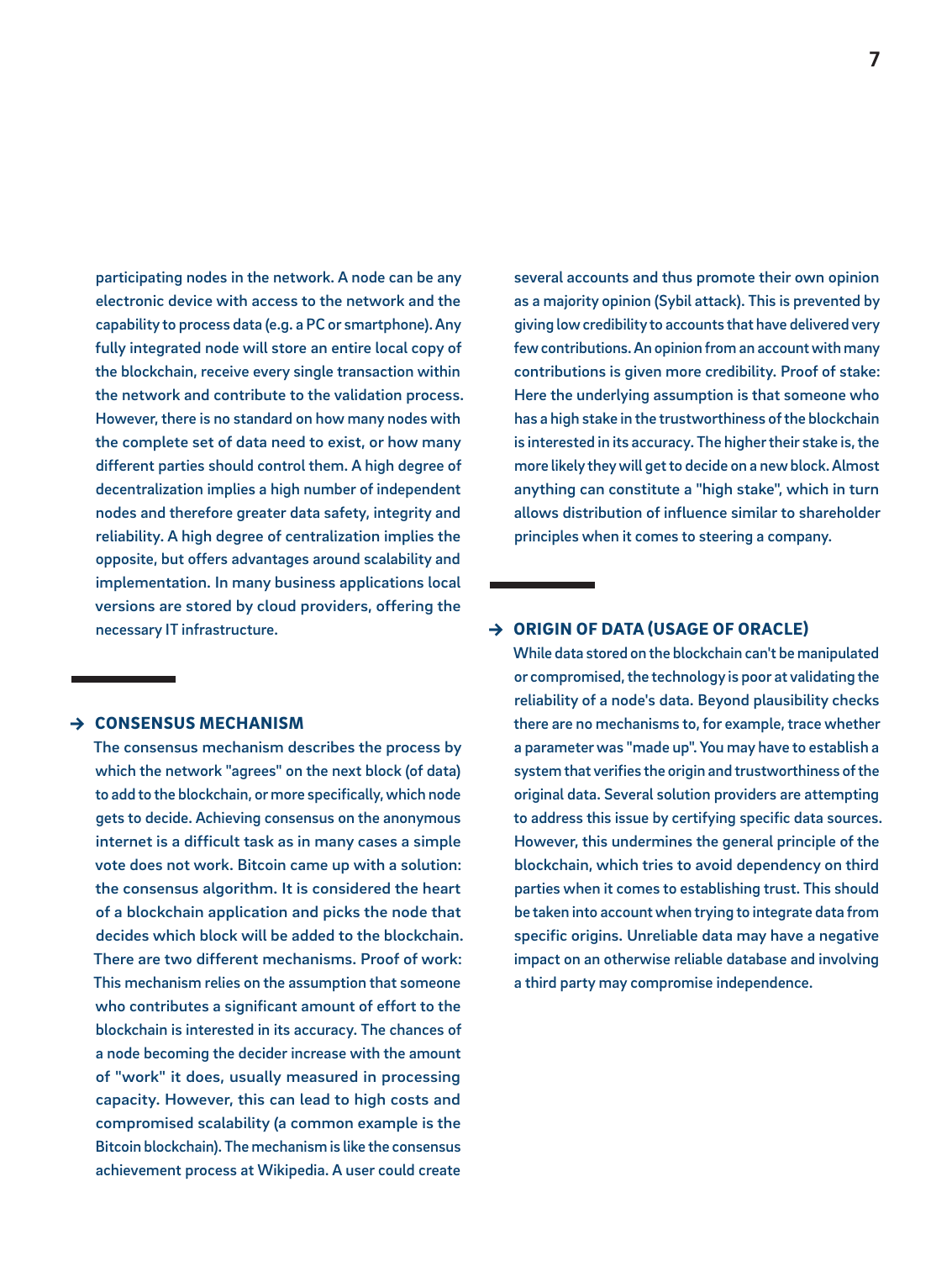participating nodes in the network. A node can be any electronic device with access to the network and the capability to process data (e.g. a PC or smartphone). Any fully integrated node will store an entire local copy of the blockchain, receive every single transaction within the network and contribute to the validation process. However, there is no standard on how many nodes with the complete set of data need to exist, or how many different parties should control them. A high degree of decentralization implies a high number of independent nodes and therefore greater data safety, integrity and reliability. A high degree of centralization implies the opposite, but offers advantages around scalability and implementation. In many business applications local versions are stored by cloud providers, offering the necessary IT infrastructure.

### → CONSENSUS MECHANISM

The consensus mechanism describes the process by which the network "agrees" on the next block (of data) to add to the blockchain, or more specifically, which node gets to decide. Achieving consensus on the anonymous internet is a difficult task as in many cases a simple vote does not work. Bitcoin came up with a solution: the consensus algorithm. It is considered the heart of a blockchain application and picks the node that decides which block will be added to the blockchain. There are two different mechanisms. Proof of work: This mechanism relies on the assumption that someone who contributes a significant amount of effort to the blockchain is interested in its accuracy. The chances of a node becoming the decider increase with the amount of "work" it does, usually measured in processing capacity. However, this can lead to high costs and compromised scalability (a common example is the Bitcoin blockchain). The mechanism is like the consensus achievement process at Wikipedia. A user could create

several accounts and thus promote their own opinion as a majority opinion (Sybil attack). This is prevented by giving low credibility to accounts that have delivered very few contributions. An opinion from an account with many contributions is given more credibility. Proof of stake: Here the underlying assumption is that someone who has a high stake in the trustworthiness of the blockchain is interested in its accuracy. The higher their stake is, the more likely they will get to decide on a new block. Almost anything can constitute a "high stake", which in turn allows distribution of influence similar to shareholder principles when it comes to steering a company.

### $\rightarrow$  ORIGIN OF DATA (USAGE OF ORACLE)

While data stored on the blockchain can't be manipulated or compromised, the technology is poor at validating the reliability of a node's data. Beyond plausibility checks there are no mechanisms to, for example, trace whether a parameter was "made up". You may have to establish a system that verifies the origin and trustworthiness of the original data. Several solution providers are attempting to address this issue by certifying specific data sources. However, this undermines the general principle of the blockchain, which tries to avoid dependency on third parties when it comes to establishing trust. This should be taken into account when trying to integrate data from specific origins. Unreliable data may have a negative impact on an otherwise reliable database and involving a third party may compromise independence.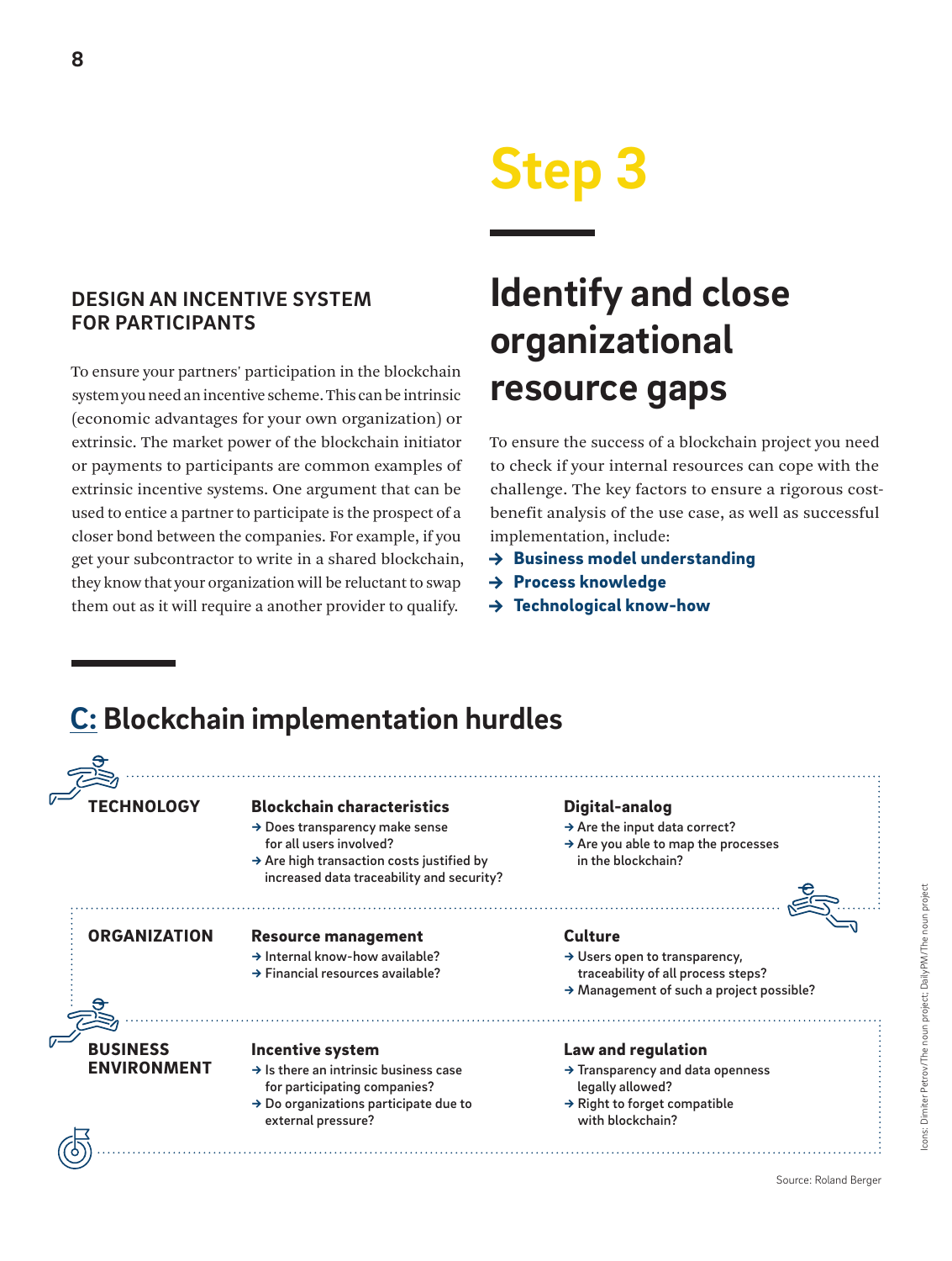## **Step 3**

### <span id="page-7-0"></span>**DESIGN AN INCENTIVE SYSTEM FOR PARTICIPANTS**

To ensure your partners' participation in the blockchain system you need an incentive scheme. This can be intrinsic (economic advantages for your own organization) or extrinsic. The market power of the blockchain initiator or payments to participants are common examples of extrinsic incentive systems. One argument that can be used to entice a partner to participate is the prospect of a closer bond between the companies. For example, if you get your subcontractor to write in a shared blockchain, they know that your organization will be reluctant to swap them out as it will require a another provider to qualify.

## **Identify and close organizational resource gaps**

To ensure the success of a blockchain project you need to check if your internal resources can cope with the challenge. The key factors to ensure a rigorous costbenefit analysis of the use case, as well as successful implementation, include:

- $\rightarrow$  Business model understanding
- → Process knowledge
- → Technological know-how

### **C: Blockchain implementation hurdles**

#### **TECHNOLOGY BUSINESS** ENVIRONMENT Blockchain characteristics → Does transparency make sense for all users involved? → Are high transaction costs justified by increased data traceability and security? Incentive system  $\rightarrow$  Is there an intrinsic business case for participating companies?  $\rightarrow$  Do organizations participate due to external pressure? Digital-analog  $\rightarrow$  Are the input data correct? → Are you able to map the processes in the blockchain? ORGANIZATION Resource management → Internal know-how available? → Financial resources available? **Culture** → Users open to transparency, traceability of all process steps? → Management of such a project possible? Law and regulation → Transparency and data openness legally allowed?  $\rightarrow$  Right to forget compatible with blockchain?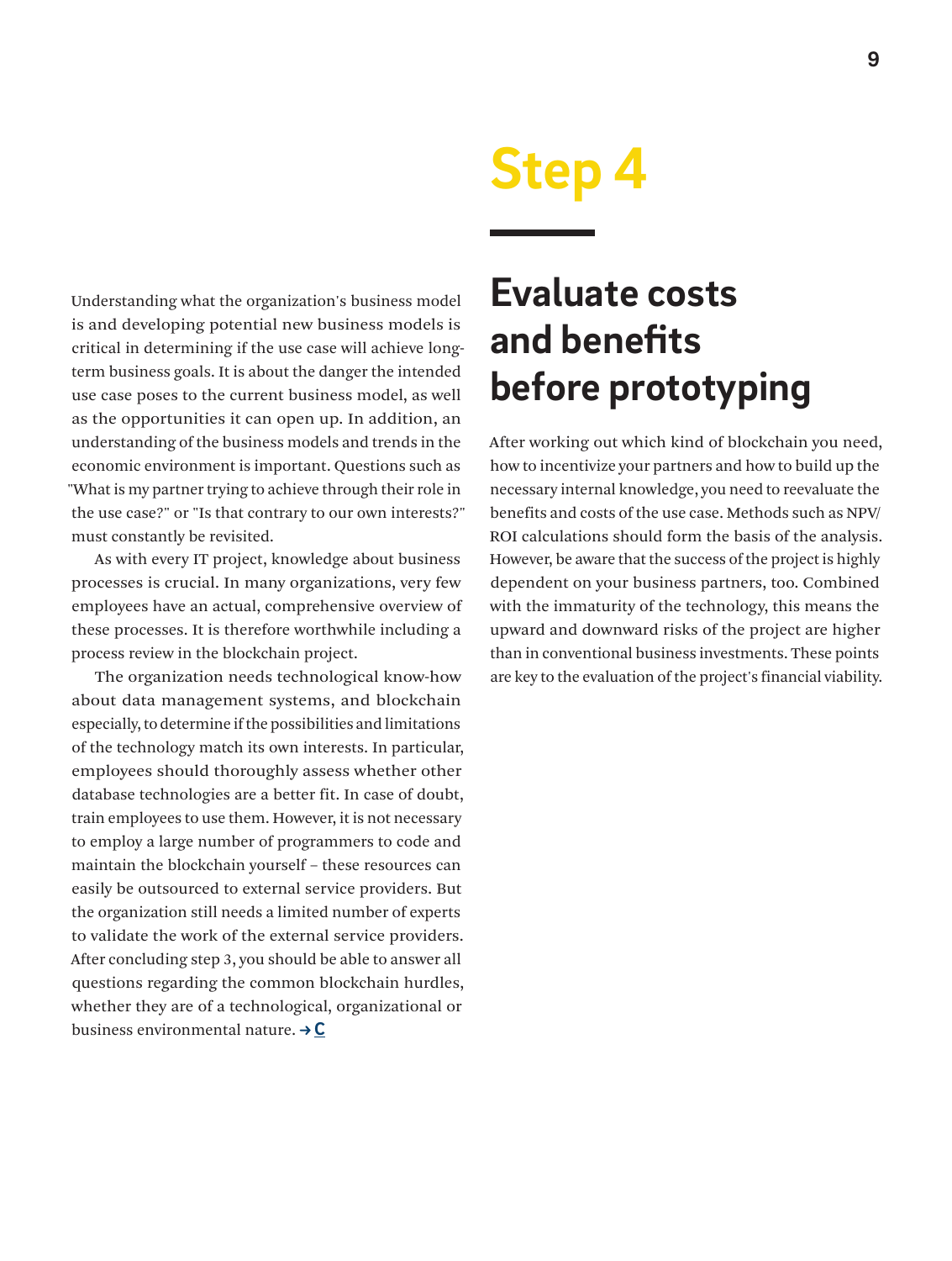<span id="page-8-0"></span>Understanding what the organization's business model is and developing potential new business models is critical in determining if the use case will achieve longterm business goals. It is about the danger the intended use case poses to the current business model, as well as the opportunities it can open up. In addition, an understanding of the business models and trends in the economic environment is important. Questions such as "What is my partner trying to achieve through their role in the use case?" or "Is that contrary to our own interests?" must constantly be revisited.

As with every IT project, knowledge about business processes is crucial. In many organizations, very few employees have an actual, comprehensive overview of these processes. It is therefore worthwhile including a process review in the blockchain project.

The organization needs technological know-how about data management systems, and blockchain especially, to determine if the possibilities and limitations of the technology match its own interests. In particular, employees should thoroughly assess whether other database technologies are a better fit. In case of doubt, train employees to use them. However, it is not necessary to employ a large number of programmers to code and maintain the blockchain yourself – these resources can easily be outsourced to external service providers. But the organization still needs a limited number of experts to validate the work of the external service providers. After concluding step 3, you should be able to answer all questions regarding the common blockchain hurdles, whether they are of a technological, organizational or business environmental nature. **C**

## **Step 4**

### **Evaluate costs and benefits before prototyping**

After working out which kind of blockchain you need, how to incentivize your partners and how to build up the necessary internal knowledge, you need to reevaluate the benefits and costs of the use case. Methods such as NPV/ ROI calculations should form the basis of the analysis. However, be aware that the success of the project is highly dependent on your business partners, too. Combined with the immaturity of the technology, this means the upward and downward risks of the project are higher than in conventional business investments. These points are key to the evaluation of the project's financial viability.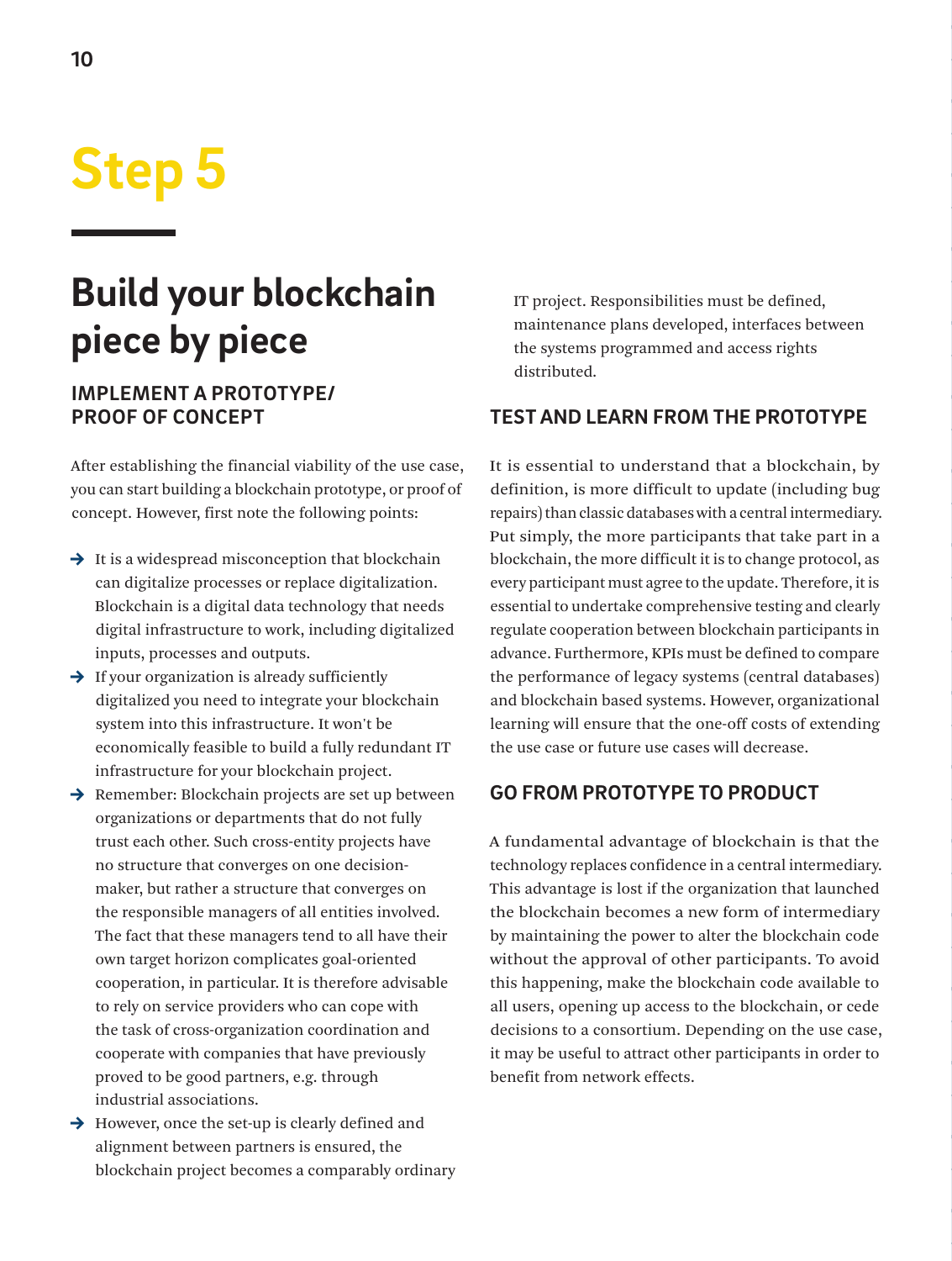## <span id="page-9-0"></span>**Step 5**

### **Build your blockchain piece by piece**

### **IMPLEMENT A PROTOTYPE/ PROOF OF CONCEPT**

After establishing the financial viability of the use case, you can start building a blockchain prototype, or proof of concept. However, first note the following points:

- $\rightarrow$  It is a widespread misconception that blockchain can digitalize processes or replace digitalization. Blockchain is a digital data technology that needs digital infrastructure to work, including digitalized inputs, processes and outputs.
- $\rightarrow$  If your organization is already sufficiently digitalized you need to integrate your blockchain system into this infrastructure. It won't be economically feasible to build a fully redundant IT infrastructure for your blockchain project.
- $\rightarrow$  Remember: Blockchain projects are set up between organizations or departments that do not fully trust each other. Such cross-entity projects have no structure that converges on one decisionmaker, but rather a structure that converges on the responsible managers of all entities involved. The fact that these managers tend to all have their own target horizon complicates goal-oriented cooperation, in particular. It is therefore advisable to rely on service providers who can cope with the task of cross-organization coordination and cooperate with companies that have previously proved to be good partners, e.g. through industrial associations.
- $\rightarrow$  However, once the set-up is clearly defined and alignment between partners is ensured, the blockchain project becomes a comparably ordinary

IT project. Responsibilities must be defined, maintenance plans developed, interfaces between the systems programmed and access rights distributed.

### **TEST AND LEARN FROM THE PROTOTYPE**

It is essential to understand that a blockchain, by definition, is more difficult to update (including bug repairs) than classic databases with a central intermediary. Put simply, the more participants that take part in a blockchain, the more difficult it is to change protocol, as every participant must agree to the update. Therefore, it is essential to undertake comprehensive testing and clearly regulate cooperation between blockchain participants in advance. Furthermore, KPIs must be defined to compare the performance of legacy systems (central databases) and blockchain based systems. However, organizational learning will ensure that the one-off costs of extending the use case or future use cases will decrease.

### **GO FROM PROTOTYPE TO PRODUCT**

A fundamental advantage of blockchain is that the technology replaces confidence in a central intermediary. This advantage is lost if the organization that launched the blockchain becomes a new form of intermediary by maintaining the power to alter the blockchain code without the approval of other participants. To avoid this happening, make the blockchain code available to all users, opening up access to the blockchain, or cede decisions to a consortium. Depending on the use case, it may be useful to attract other participants in order to benefit from network effects.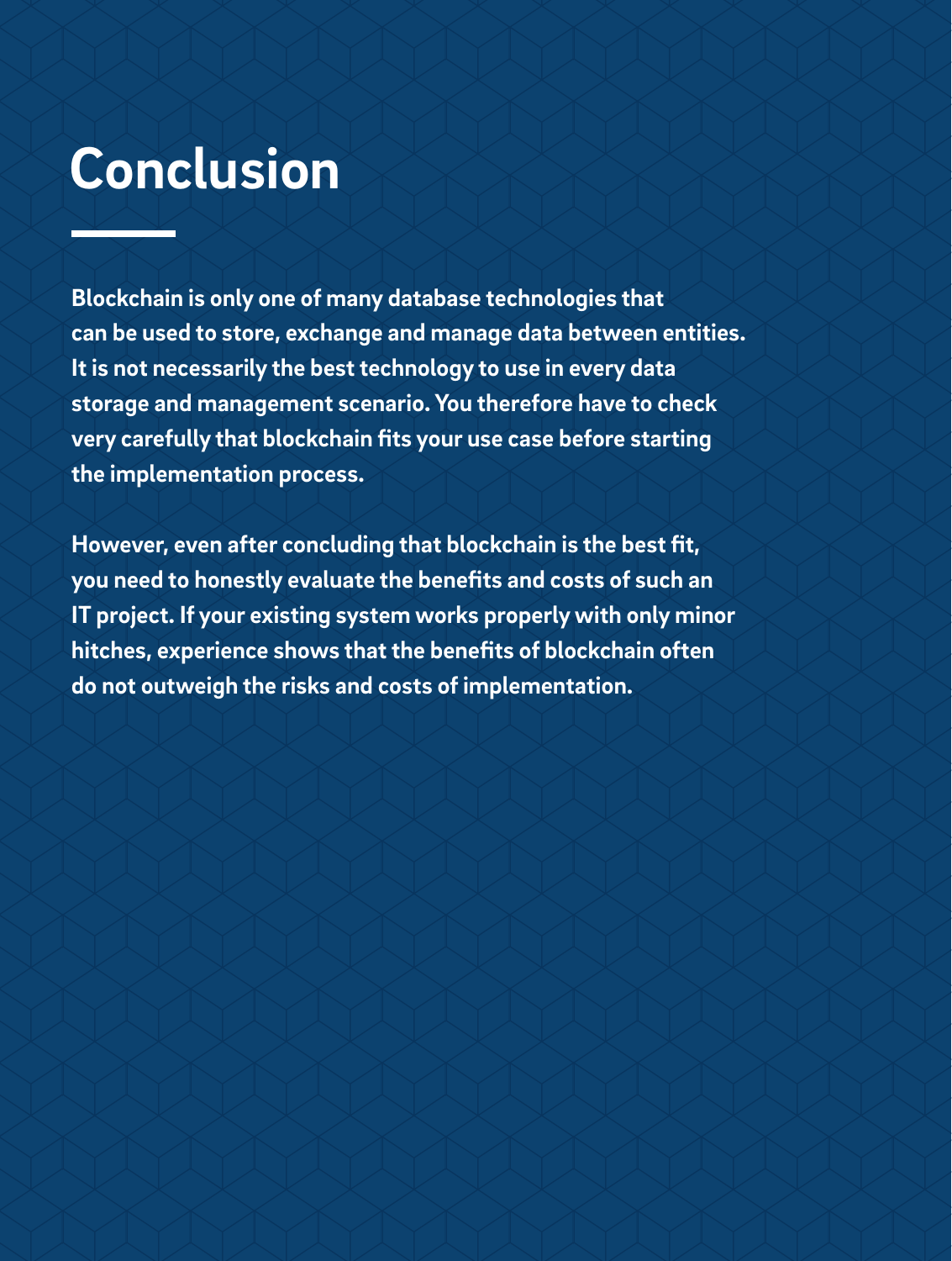## **Conclusion**

**Blockchain is only one of many database technologies that can be used to store, exchange and manage data between entities. It is not necessarily the best technology to use in every data storage and management scenario. You therefore have to check very carefully that blockchain fits your use case before starting the implementation process.** 

**However, even after concluding that blockchain is the best fit, you need to honestly evaluate the benefits and costs of such an IT project. If your existing system works properly with only minor hitches, experience shows that the benefits of blockchain often do not outweigh the risks and costs of implementation.**